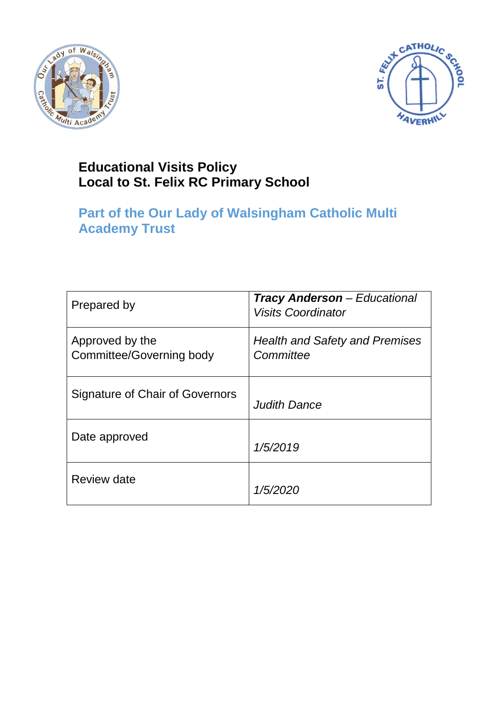



# **Educational Visits Policy Local to St. Felix RC Primary School**

# **Part of the Our Lady of Walsingham Catholic Multi Academy Trust**

| Prepared by                                 | <b>Tracy Anderson</b> – Educational<br><b>Visits Coordinator</b> |
|---------------------------------------------|------------------------------------------------------------------|
| Approved by the<br>Committee/Governing body | <b>Health and Safety and Premises</b><br>Committee               |
| Signature of Chair of Governors             | Judith Dance                                                     |
| Date approved                               | 1/5/2019                                                         |
| Review date                                 | 1/5/2020                                                         |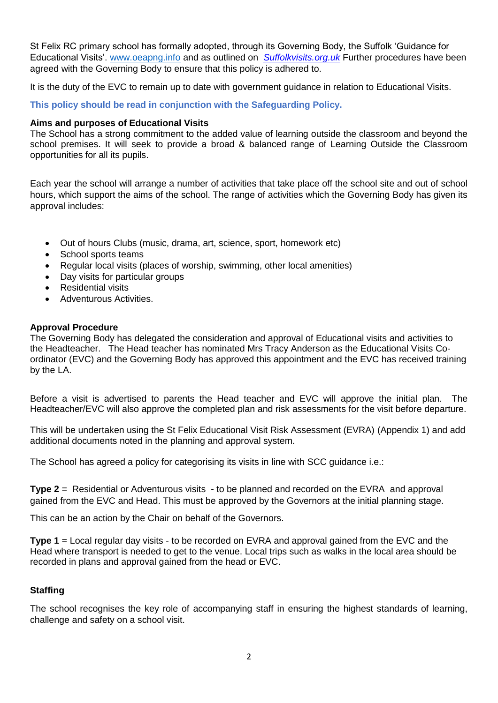St Felix RC primary school has formally adopted, through its Governing Body, the Suffolk 'Guidance for Educational Visits'. [www.oeapng.info](http://www.oeapng.info/) and as outlined on *Suffolkvisits.org.uk* Further procedures have been agreed with the Governing Body to ensure that this policy is adhered to.

It is the duty of the EVC to remain up to date with government guidance in relation to Educational Visits.

**This policy should be read in conjunction with the Safeguarding Policy.**

#### **Aims and purposes of Educational Visits**

The School has a strong commitment to the added value of learning outside the classroom and beyond the school premises. It will seek to provide a broad & balanced range of Learning Outside the Classroom opportunities for all its pupils.

Each year the school will arrange a number of activities that take place off the school site and out of school hours, which support the aims of the school. The range of activities which the Governing Body has given its approval includes:

- Out of hours Clubs (music, drama, art, science, sport, homework etc)
- School sports teams
- Regular local visits (places of worship, swimming, other local amenities)
- Day visits for particular groups
- Residential visits
- Adventurous Activities.

#### **Approval Procedure**

The Governing Body has delegated the consideration and approval of Educational visits and activities to the Headteacher. The Head teacher has nominated Mrs Tracy Anderson as the Educational Visits Coordinator (EVC) and the Governing Body has approved this appointment and the EVC has received training by the LA.

Before a visit is advertised to parents the Head teacher and EVC will approve the initial plan. The Headteacher/EVC will also approve the completed plan and risk assessments for the visit before departure.

This will be undertaken using the St Felix Educational Visit Risk Assessment (EVRA) (Appendix 1) and add additional documents noted in the planning and approval system.

The School has agreed a policy for categorising its visits in line with SCC guidance i.e.:

**Type 2** = Residential or Adventurous visits - to be planned and recorded on the EVRA and approval gained from the EVC and Head. This must be approved by the Governors at the initial planning stage.

This can be an action by the Chair on behalf of the Governors.

**Type 1** = Local regular day visits - to be recorded on EVRA and approval gained from the EVC and the Head where transport is needed to get to the venue. Local trips such as walks in the local area should be recorded in plans and approval gained from the head or EVC.

### **Staffing**

The school recognises the key role of accompanying staff in ensuring the highest standards of learning, challenge and safety on a school visit.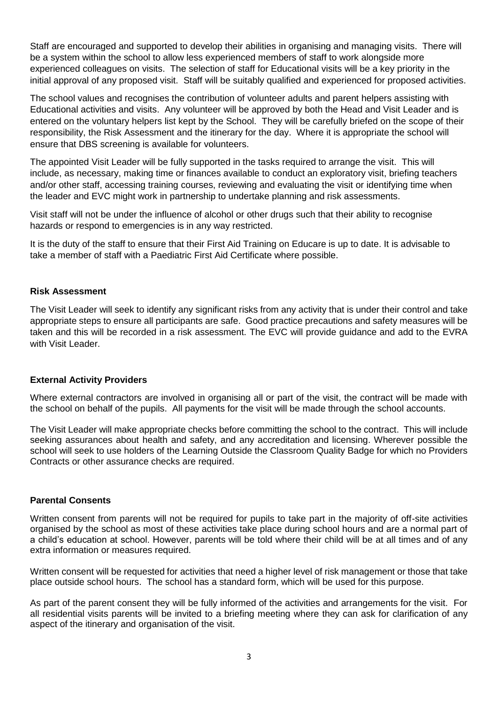Staff are encouraged and supported to develop their abilities in organising and managing visits. There will be a system within the school to allow less experienced members of staff to work alongside more experienced colleagues on visits. The selection of staff for Educational visits will be a key priority in the initial approval of any proposed visit. Staff will be suitably qualified and experienced for proposed activities.

The school values and recognises the contribution of volunteer adults and parent helpers assisting with Educational activities and visits. Any volunteer will be approved by both the Head and Visit Leader and is entered on the voluntary helpers list kept by the School. They will be carefully briefed on the scope of their responsibility, the Risk Assessment and the itinerary for the day. Where it is appropriate the school will ensure that DBS screening is available for volunteers.

The appointed Visit Leader will be fully supported in the tasks required to arrange the visit. This will include, as necessary, making time or finances available to conduct an exploratory visit, briefing teachers and/or other staff, accessing training courses, reviewing and evaluating the visit or identifying time when the leader and EVC might work in partnership to undertake planning and risk assessments.

Visit staff will not be under the influence of alcohol or other drugs such that their ability to recognise hazards or respond to emergencies is in any way restricted.

It is the duty of the staff to ensure that their First Aid Training on Educare is up to date. It is advisable to take a member of staff with a Paediatric First Aid Certificate where possible.

#### **Risk Assessment**

The Visit Leader will seek to identify any significant risks from any activity that is under their control and take appropriate steps to ensure all participants are safe. Good practice precautions and safety measures will be taken and this will be recorded in a risk assessment. The EVC will provide guidance and add to the EVRA with Visit Leader.

#### **External Activity Providers**

Where external contractors are involved in organising all or part of the visit, the contract will be made with the school on behalf of the pupils. All payments for the visit will be made through the school accounts.

The Visit Leader will make appropriate checks before committing the school to the contract. This will include seeking assurances about health and safety, and any accreditation and licensing. Wherever possible the school will seek to use holders of the Learning Outside the Classroom Quality Badge for which no Providers Contracts or other assurance checks are required.

#### **Parental Consents**

Written consent from parents will not be required for pupils to take part in the majority of off-site activities organised by the school as most of these activities take place during school hours and are a normal part of a child's education at school. However, parents will be told where their child will be at all times and of any extra information or measures required.

Written consent will be requested for activities that need a higher level of risk management or those that take place outside school hours. The school has a standard form, which will be used for this purpose.

As part of the parent consent they will be fully informed of the activities and arrangements for the visit. For all residential visits parents will be invited to a briefing meeting where they can ask for clarification of any aspect of the itinerary and organisation of the visit.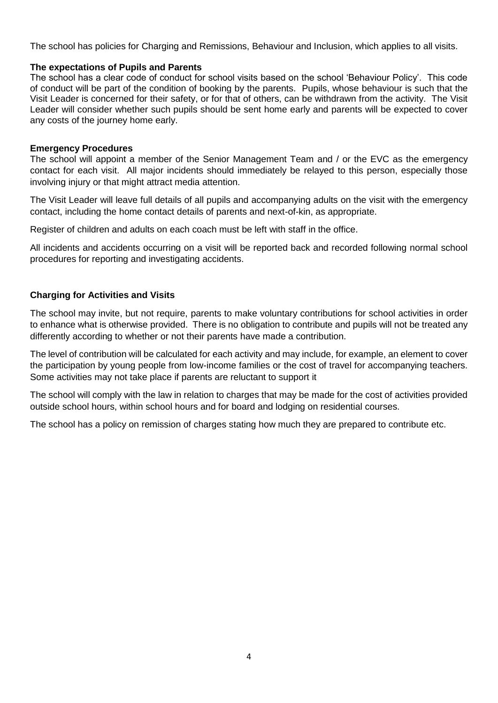The school has policies for Charging and Remissions, Behaviour and Inclusion, which applies to all visits.

#### **The expectations of Pupils and Parents**

The school has a clear code of conduct for school visits based on the school 'Behaviour Policy'. This code of conduct will be part of the condition of booking by the parents. Pupils, whose behaviour is such that the Visit Leader is concerned for their safety, or for that of others, can be withdrawn from the activity. The Visit Leader will consider whether such pupils should be sent home early and parents will be expected to cover any costs of the journey home early.

#### **Emergency Procedures**

The school will appoint a member of the Senior Management Team and / or the EVC as the emergency contact for each visit. All major incidents should immediately be relayed to this person, especially those involving injury or that might attract media attention.

The Visit Leader will leave full details of all pupils and accompanying adults on the visit with the emergency contact, including the home contact details of parents and next-of-kin, as appropriate.

Register of children and adults on each coach must be left with staff in the office.

All incidents and accidents occurring on a visit will be reported back and recorded following normal school procedures for reporting and investigating accidents.

#### **Charging for Activities and Visits**

The school may invite, but not require, parents to make voluntary contributions for school activities in order to enhance what is otherwise provided. There is no obligation to contribute and pupils will not be treated any differently according to whether or not their parents have made a contribution.

The level of contribution will be calculated for each activity and may include, for example, an element to cover the participation by young people from low-income families or the cost of travel for accompanying teachers. Some activities may not take place if parents are reluctant to support it

The school will comply with the law in relation to charges that may be made for the cost of activities provided outside school hours, within school hours and for board and lodging on residential courses.

The school has a policy on remission of charges stating how much they are prepared to contribute etc.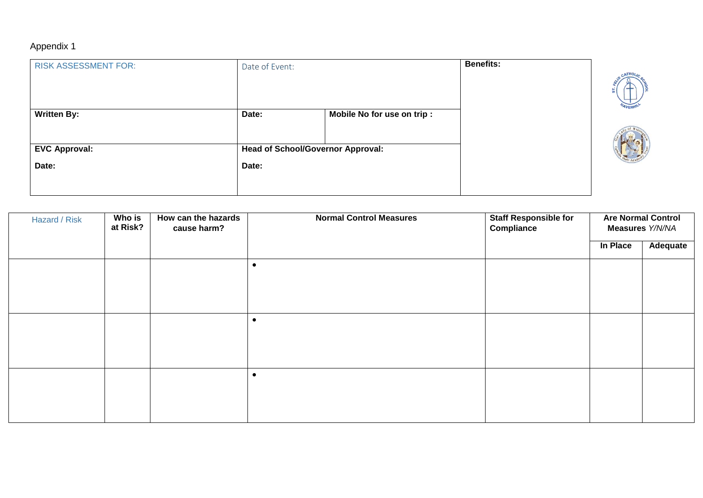## Appendix 1

| <b>RISK ASSESSMENT FOR:</b> | Date of Event: |                                          | <b>Benefits:</b> |                |
|-----------------------------|----------------|------------------------------------------|------------------|----------------|
|                             |                |                                          |                  |                |
|                             |                |                                          |                  |                |
| <b>Written By:</b>          | Date:          | Mobile No for use on trip :              |                  | <b>AVERHIL</b> |
|                             |                |                                          |                  |                |
| <b>EVC Approval:</b>        |                | <b>Head of School/Governor Approval:</b> |                  |                |
| Date:                       | Date:          |                                          |                  |                |
|                             |                |                                          |                  |                |
|                             |                |                                          |                  |                |

| Hazard / Risk | Who is<br>at Risk? | How can the hazards<br>cause harm? | <b>Normal Control Measures</b> | <b>Staff Responsible for</b><br>Compliance | <b>Are Normal Control</b><br>Measures Y/N/NA |                 |
|---------------|--------------------|------------------------------------|--------------------------------|--------------------------------------------|----------------------------------------------|-----------------|
|               |                    |                                    |                                |                                            | In Place                                     | <b>Adequate</b> |
|               |                    |                                    | $\epsilon$                     |                                            |                                              |                 |
|               |                    |                                    |                                |                                            |                                              |                 |
|               |                    |                                    |                                |                                            |                                              |                 |
|               |                    |                                    | $\bullet$                      |                                            |                                              |                 |
|               |                    |                                    |                                |                                            |                                              |                 |
|               |                    |                                    |                                |                                            |                                              |                 |
|               |                    |                                    | $\epsilon$                     |                                            |                                              |                 |
|               |                    |                                    |                                |                                            |                                              |                 |
|               |                    |                                    |                                |                                            |                                              |                 |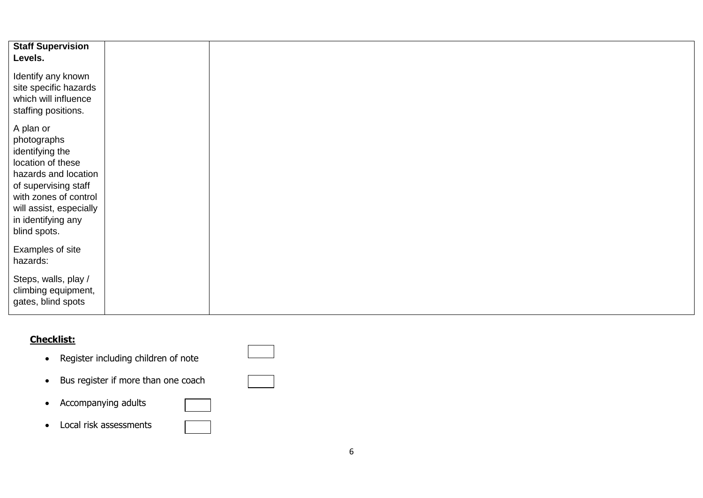| <b>Staff Supervision</b><br>Levels.                                                                                                                                                                        |  |  |  |
|------------------------------------------------------------------------------------------------------------------------------------------------------------------------------------------------------------|--|--|--|
| Identify any known<br>site specific hazards<br>which will influence<br>staffing positions.                                                                                                                 |  |  |  |
| A plan or<br>photographs<br>identifying the<br>location of these<br>hazards and location<br>of supervising staff<br>with zones of control<br>will assist, especially<br>in identifying any<br>blind spots. |  |  |  |
| Examples of site<br>hazards:                                                                                                                                                                               |  |  |  |
| Steps, walls, play /<br>climbing equipment,<br>gates, blind spots                                                                                                                                          |  |  |  |

### **Checklist:**

- Register including children of note
- Bus register if more than one coach
- Accompanying adults
- Local risk assessments